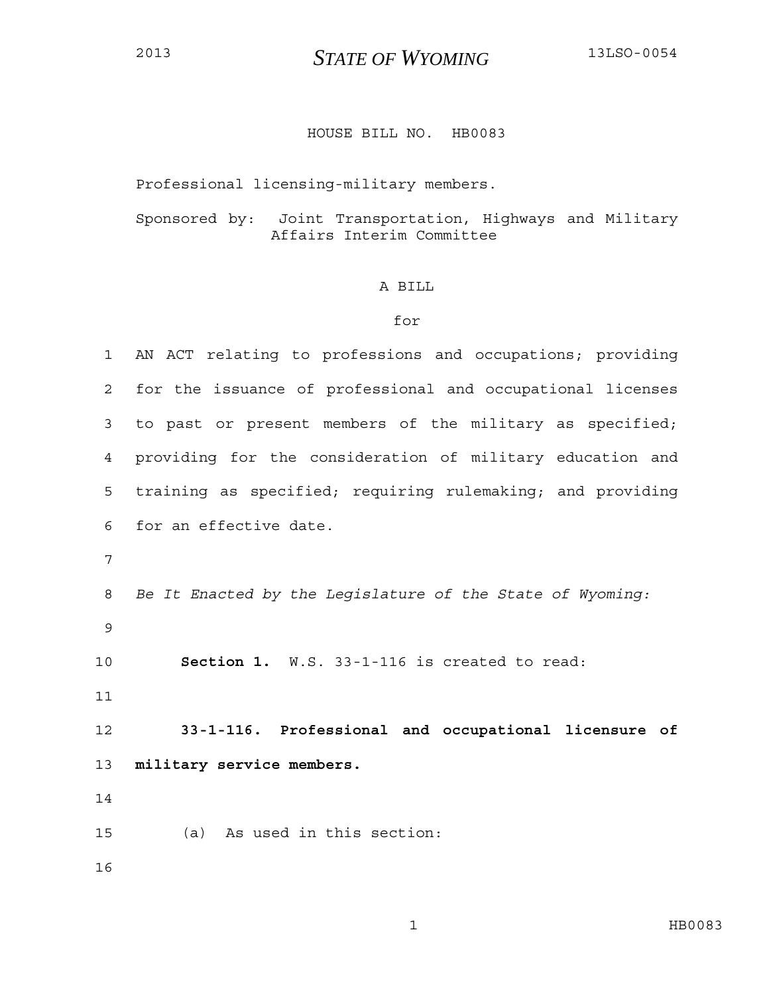## <sup>2013</sup>*STATE OF WYOMING* 13LSO-0054

## HOUSE BILL NO. HB0083

Professional licensing-military members.

Sponsored by: Joint Transportation, Highways and Military Affairs Interim Committee

## A BILL

## for

| $\mathbf 1$    | AN ACT relating to professions and occupations; providing  |
|----------------|------------------------------------------------------------|
| $\overline{2}$ | for the issuance of professional and occupational licenses |
| 3              | to past or present members of the military as specified;   |
| 4              | providing for the consideration of military education and  |
| 5              | training as specified; requiring rulemaking; and providing |
| 6              | for an effective date.                                     |
| 7              |                                                            |
| 8              | Be It Enacted by the Legislature of the State of Wyoming:  |
| $\mathsf 9$    |                                                            |
| 10             | Section 1. W.S. 33-1-116 is created to read:               |
| 11             |                                                            |
| 12             | 33-1-116. Professional and occupational licensure of       |
| 13             | military service members.                                  |
| 14             |                                                            |
| 15             | As used in this section:<br>(a)                            |
| 16             |                                                            |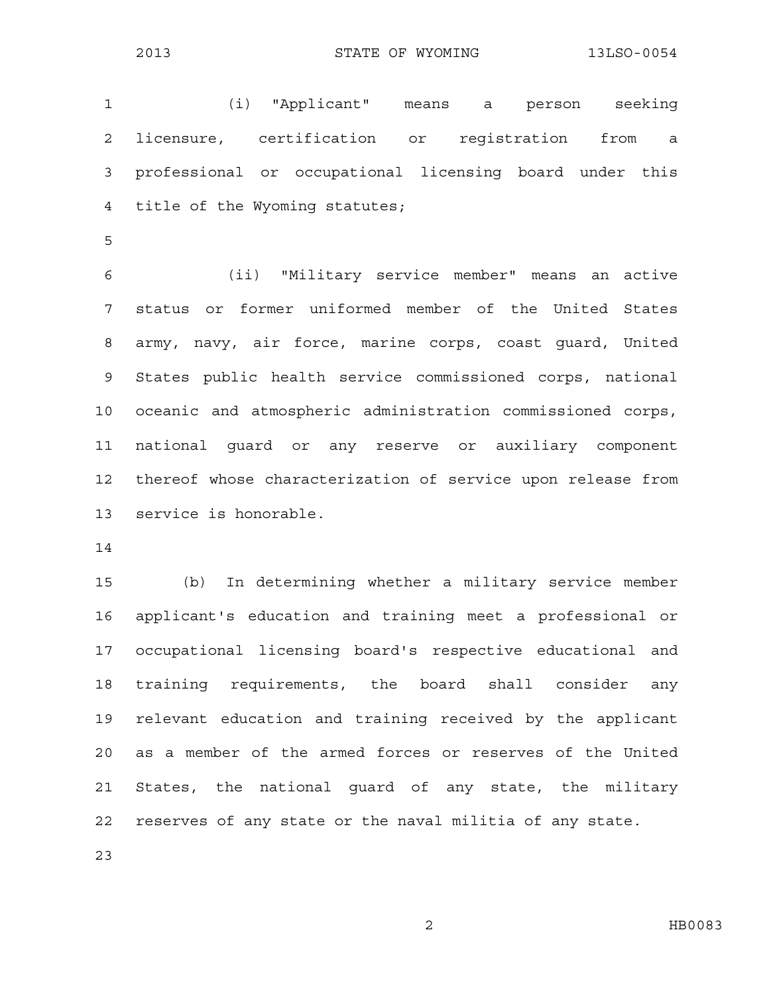1 (i) "Applicant" means a person seeking 2 licensure, certification or registration from a 3 professional or occupational licensing board under this 4 title of the Wyoming statutes;

5

6 (ii) "Military service member" means an active 7 status or former uniformed member of the United States 8 army, navy, air force, marine corps, coast guard, United 9 States public health service commissioned corps, national 10 oceanic and atmospheric administration commissioned corps, 11 national guard or any reserve or auxiliary component 12 thereof whose characterization of service upon release from 13 service is honorable.

14

15 (b) In determining whether a military service member 16 applicant's education and training meet a professional or 17 occupational licensing board's respective educational and 18 training requirements, the board shall consider any 19 relevant education and training received by the applicant 20 as a member of the armed forces or reserves of the United 21 States, the national guard of any state, the military 22 reserves of any state or the naval militia of any state.

23